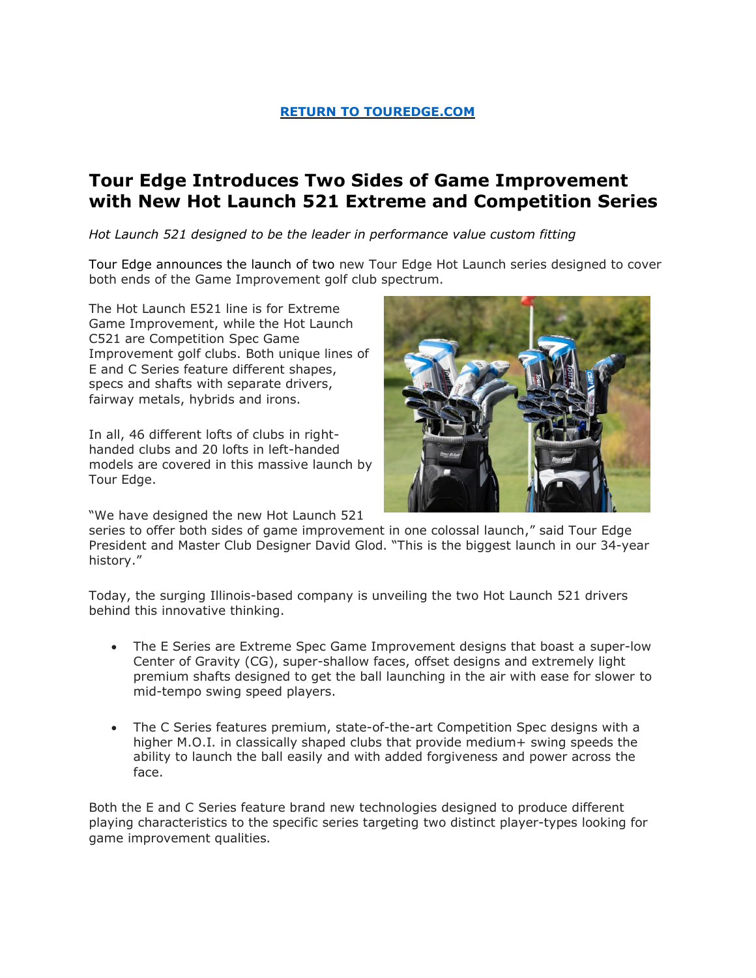## **[RETURN TO TOUREDGE.COM](https://www.touredge.com/)**

# **Tour Edge Introduces Two Sides of Game Improvement with New Hot Launch 521 Extreme and Competition Series**

*Hot Launch 521 designed to be the leader in performance value custom fitting* 

Tour Edge announces the launch of two new Tour Edge Hot Launch series designed to cover both ends of the Game Improvement golf club spectrum.

The Hot Launch E521 line is for Extreme Game Improvement, while the Hot Launch C521 are Competition Spec Game Improvement golf clubs. Both unique lines of E and C Series feature different shapes, specs and shafts with separate drivers, fairway metals, hybrids and irons.

In all, 46 different lofts of clubs in righthanded clubs and 20 lofts in left-handed models are covered in this massive launch by Tour Edge.

"We have designed the new Hot Launch 521

series to offer both sides of game improvement in one colossal launch," said Tour Edge President and Master Club Designer David Glod. "This is the biggest launch in our 34-year history."

Today, the surging Illinois-based company is unveiling the two Hot Launch 521 drivers behind this innovative thinking.

- The E Series are Extreme Spec Game Improvement designs that boast a super-low Center of Gravity (CG), super-shallow faces, offset designs and extremely light premium shafts designed to get the ball launching in the air with ease for slower to mid-tempo swing speed players.
- The C Series features premium, state-of-the-art Competition Spec designs with a higher M.O.I. in classically shaped clubs that provide medium+ swing speeds the ability to launch the ball easily and with added forgiveness and power across the face.

Both the E and C Series feature brand new technologies designed to produce different playing characteristics to the specific series targeting two distinct player-types looking for game improvement qualities.

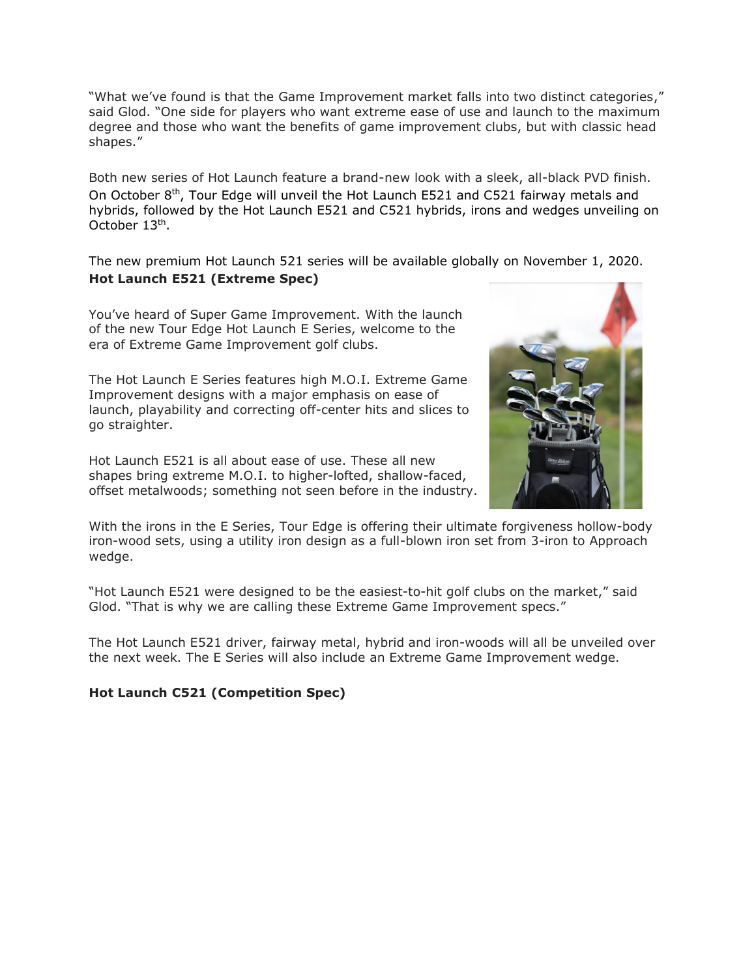"What we've found is that the Game Improvement market falls into two distinct categories," said Glod. "One side for players who want extreme ease of use and launch to the maximum degree and those who want the benefits of game improvement clubs, but with classic head shapes."

Both new series of Hot Launch feature a brand-new look with a sleek, all-black PVD finish. On October 8<sup>th</sup>, Tour Edge will unveil the Hot Launch E521 and C521 fairway metals and hybrids, followed by the Hot Launch E521 and C521 hybrids, irons and wedges unveiling on October 13<sup>th</sup>.

The new premium Hot Launch 521 series will be available globally on November 1, 2020. **Hot Launch E521 (Extreme Spec)**

You've heard of Super Game Improvement. With the launch of the new Tour Edge Hot Launch E Series, welcome to the era of Extreme Game Improvement golf clubs.

The Hot Launch E Series features high M.O.I. Extreme Game Improvement designs with a major emphasis on ease of launch, playability and correcting off-center hits and slices to go straighter.

Hot Launch E521 is all about ease of use. These all new shapes bring extreme M.O.I. to higher-lofted, shallow-faced, offset metalwoods; something not seen before in the industry.



With the irons in the E Series, Tour Edge is offering their ultimate forgiveness hollow-body iron-wood sets, using a utility iron design as a full-blown iron set from 3-iron to Approach wedge.

"Hot Launch E521 were designed to be the easiest-to-hit golf clubs on the market," said Glod. "That is why we are calling these Extreme Game Improvement specs."

The Hot Launch E521 driver, fairway metal, hybrid and iron-woods will all be unveiled over the next week. The E Series will also include an Extreme Game Improvement wedge.

### **Hot Launch C521 (Competition Spec)**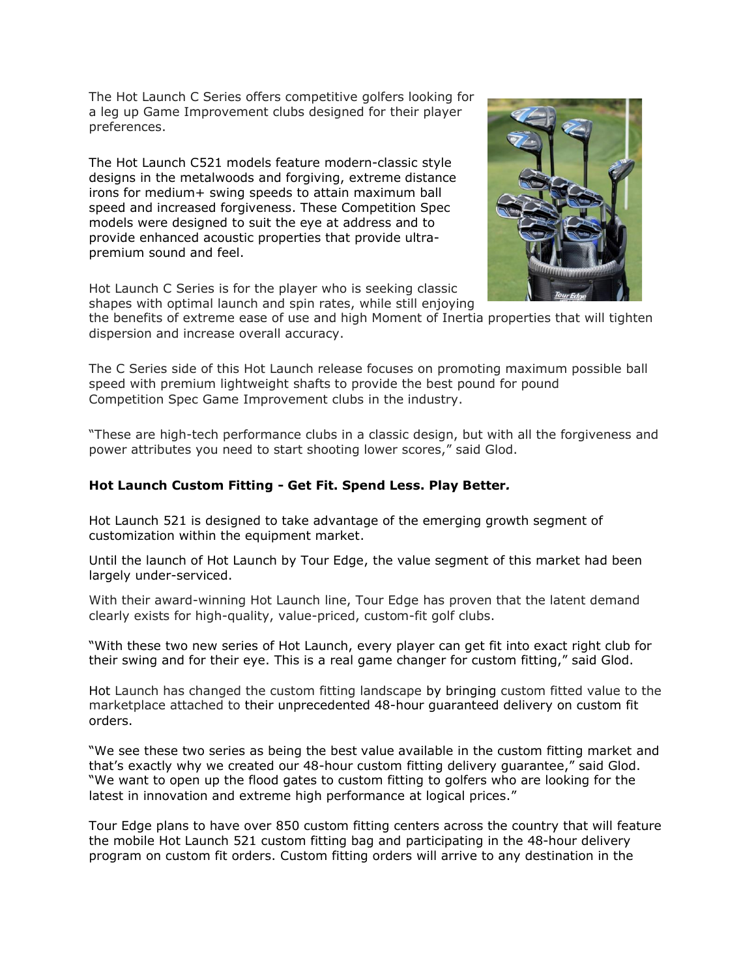The Hot Launch C Series offers competitive golfers looking for a leg up Game Improvement clubs designed for their player preferences.

The Hot Launch C521 models feature modern-classic style designs in the metalwoods and forgiving, extreme distance irons for medium+ swing speeds to attain maximum ball speed and increased forgiveness. These Competition Spec models were designed to suit the eye at address and to provide enhanced acoustic properties that provide ultrapremium sound and feel.



the benefits of extreme ease of use and high Moment of Inertia properties that will tighten dispersion and increase overall accuracy.

The C Series side of this Hot Launch release focuses on promoting maximum possible ball speed with premium lightweight shafts to provide the best pound for pound Competition Spec Game Improvement clubs in the industry.

"These are high-tech performance clubs in a classic design, but with all the forgiveness and power attributes you need to start shooting lower scores," said Glod.

#### **Hot Launch Custom Fitting - Get Fit. Spend Less. Play Better***.*

Hot Launch 521 is designed to take advantage of the emerging growth segment of customization within the equipment market.

Until the launch of Hot Launch by Tour Edge, the value segment of this market had been largely under-serviced.

With their award-winning Hot Launch line, Tour Edge has proven that the latent demand clearly exists for high-quality, value-priced, custom-fit golf clubs.

"With these two new series of Hot Launch, every player can get fit into exact right club for their swing and for their eye. This is a real game changer for custom fitting," said Glod.

Hot Launch has changed the custom fitting landscape by bringing custom fitted value to the marketplace attached to their unprecedented 48-hour guaranteed delivery on custom fit orders.

"We see these two series as being the best value available in the custom fitting market and that's exactly why we created our 48-hour custom fitting delivery guarantee," said Glod. "We want to open up the flood gates to custom fitting to golfers who are looking for the latest in innovation and extreme high performance at logical prices."

Tour Edge plans to have over 850 custom fitting centers across the country that will feature the mobile Hot Launch 521 custom fitting bag and participating in the 48-hour delivery program on custom fit orders. Custom fitting orders will arrive to any destination in the